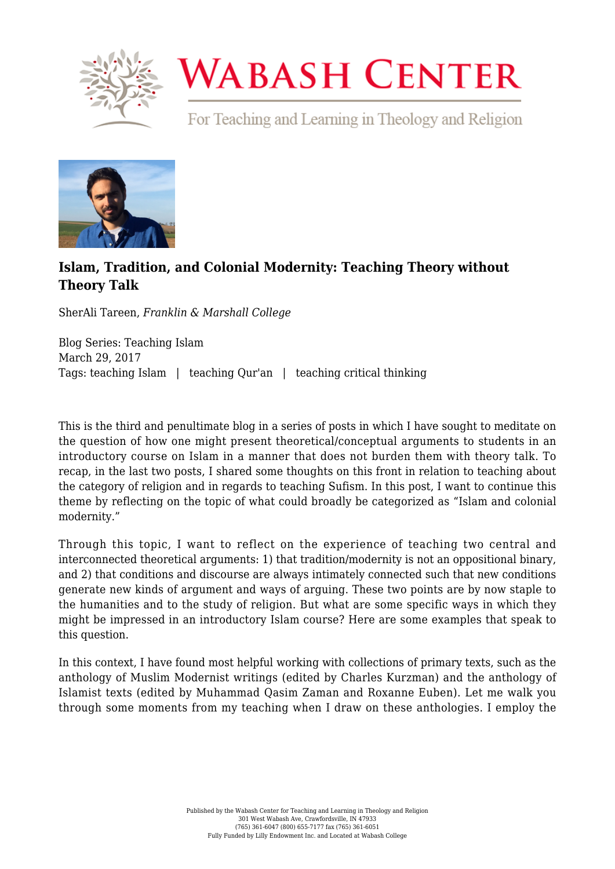

## **WABASH CENTER**

For Teaching and Learning in Theology and Religion



## **[Islam, Tradition, and Colonial Modernity: Teaching Theory without](https://www.wabashcenter.wabash.edu/2017/03/islam-tradition-and-colonial-modernity-teaching-theory-without-theory-talk/) [Theory Talk](https://www.wabashcenter.wabash.edu/2017/03/islam-tradition-and-colonial-modernity-teaching-theory-without-theory-talk/)**

SherAli Tareen, *Franklin & Marshall College*

Blog Series: Teaching Islam March 29, 2017 Tags: teaching Islam | teaching Qur'an | teaching critical thinking

This is the third and penultimate blog in a series of posts in which I have sought to meditate on the question of how one might present theoretical/conceptual arguments to students in an introductory course on Islam in a manner that does not burden them with theory talk. To recap, in the last two posts, I shared some thoughts on this front in relation to teaching about the category of religion and in regards to teaching Sufism. In this post, I want to continue this theme by reflecting on the topic of what could broadly be categorized as "Islam and colonial modernity."

Through this topic, I want to reflect on the experience of teaching two central and interconnected theoretical arguments: 1) that tradition/modernity is not an oppositional binary, and 2) that conditions and discourse are always intimately connected such that new conditions generate new kinds of argument and ways of arguing. These two points are by now staple to the humanities and to the study of religion. But what are some specific ways in which they might be impressed in an introductory Islam course? Here are some examples that speak to this question.

In this context, I have found most helpful working with collections of primary texts, such as the anthology of Muslim Modernist writings (edited by Charles Kurzman) and the anthology of Islamist texts (edited by Muhammad Qasim Zaman and Roxanne Euben). Let me walk you through some moments from my teaching when I draw on these anthologies. I employ the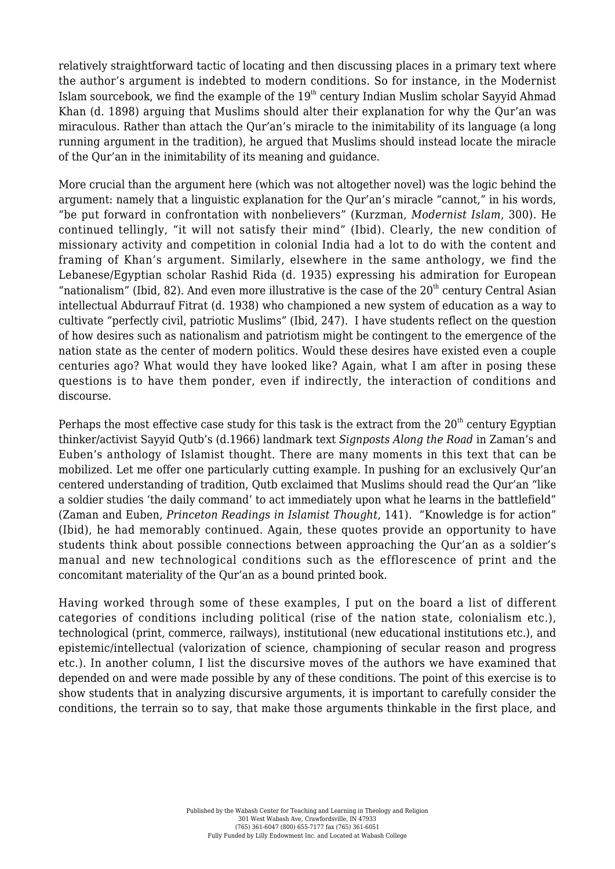relatively straightforward tactic of locating and then discussing places in a primary text where the author's argument is indebted to modern conditions. So for instance, in the Modernist Islam sourcebook, we find the example of the  $19<sup>th</sup>$  century Indian Muslim scholar Sayyid Ahmad Khan (d. 1898) arguing that Muslims should alter their explanation for why the Qur'an was miraculous. Rather than attach the Qur'an's miracle to the inimitability of its language (a long running argument in the tradition), he argued that Muslims should instead locate the miracle of the Qur'an in the inimitability of its meaning and guidance.

More crucial than the argument here (which was not altogether novel) was the logic behind the argument: namely that a linguistic explanation for the Qur'an's miracle "cannot," in his words, "be put forward in confrontation with nonbelievers" (Kurzman, *Modernist Islam*, 300). He continued tellingly, "it will not satisfy their mind" (Ibid). Clearly, the new condition of missionary activity and competition in colonial India had a lot to do with the content and framing of Khan's argument. Similarly, elsewhere in the same anthology, we find the Lebanese/Egyptian scholar Rashid Rida (d. 1935) expressing his admiration for European "nationalism" (Ibid, 82). And even more illustrative is the case of the  $20<sup>th</sup>$  century Central Asian intellectual Abdurrauf Fitrat (d. 1938) who championed a new system of education as a way to cultivate "perfectly civil, patriotic Muslims" (Ibid, 247). I have students reflect on the question of how desires such as nationalism and patriotism might be contingent to the emergence of the nation state as the center of modern politics. Would these desires have existed even a couple centuries ago? What would they have looked like? Again, what I am after in posing these questions is to have them ponder, even if indirectly, the interaction of conditions and discourse.

Perhaps the most effective case study for this task is the extract from the  $20<sup>th</sup>$  century Egyptian thinker/activist Sayyid Qutb's (d.1966) landmark text *Signposts Along the Road* in Zaman's and Euben's anthology of Islamist thought. There are many moments in this text that can be mobilized. Let me offer one particularly cutting example. In pushing for an exclusively Qur'an centered understanding of tradition, Qutb exclaimed that Muslims should read the Qur'an "like a soldier studies 'the daily command' to act immediately upon what he learns in the battlefield" (Zaman and Euben, *Princeton Readings in Islamist Thought*, 141). "Knowledge is for action" (Ibid), he had memorably continued. Again, these quotes provide an opportunity to have students think about possible connections between approaching the Qur'an as a soldier's manual and new technological conditions such as the efflorescence of print and the concomitant materiality of the Qur'an as a bound printed book.

Having worked through some of these examples, I put on the board a list of different categories of conditions including political (rise of the nation state, colonialism etc.), technological (print, commerce, railways), institutional (new educational institutions etc.), and epistemic/intellectual (valorization of science, championing of secular reason and progress etc.). In another column, I list the discursive moves of the authors we have examined that depended on and were made possible by any of these conditions. The point of this exercise is to show students that in analyzing discursive arguments, it is important to carefully consider the conditions, the terrain so to say, that make those arguments thinkable in the first place, and